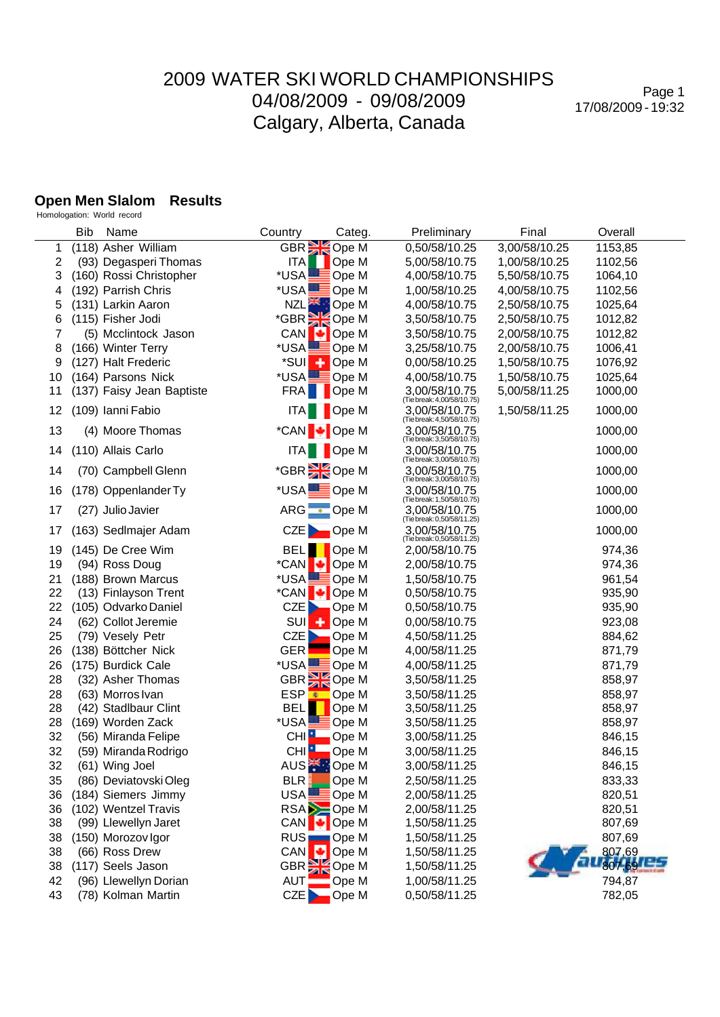Page 1 17/08/2009 - 19:32

#### **Open Men Slalom Results**

Homologation: World record

|          | Bib | Name                                       | Country                          | Categ.                    | Preliminary                                 | Final         | Overall          |
|----------|-----|--------------------------------------------|----------------------------------|---------------------------|---------------------------------------------|---------------|------------------|
| 1        |     | (118) Asher William                        | GBR <b>Ope M</b>                 |                           | 0,50/58/10.25                               | 3,00/58/10.25 | 1153,85          |
| 2        |     | (93) Degasperi Thomas                      | <b>ITA</b>                       | Ope M                     | 5,00/58/10.75                               | 1,00/58/10.25 | 1102,56          |
| 3        |     | (160) Rossi Christopher                    | *USA                             | Ope M                     | 4,00/58/10.75                               | 5,50/58/10.75 | 1064,10          |
| 4        |     | (192) Parrish Chris                        | *USA                             | <b>≣Ope M</b>             | 1,00/58/10.25                               | 4,00/58/10.75 | 1102,56          |
| 5        |     | (131) Larkin Aaron                         |                                  | NZL <sup>SK</sup> : Ope M | 4,00/58/10.75                               | 2,50/58/10.75 | 1025,64          |
| 6        |     | (115) Fisher Jodi                          | *GBR SOpe M                      |                           | 3,50/58/10.75                               | 2,50/58/10.75 | 1012,82          |
| 7        |     | (5) Mcclintock Jason                       | CAN                              | $\bigcup$ Ope M           | 3,50/58/10.75                               | 2,00/58/10.75 | 1012,82          |
| 8        |     | (166) Winter Terry                         | *USALLE                          | ≣Ope M                    | 3,25/58/10.75                               | 2,00/58/10.75 | 1006,41          |
| 9        |     | (127) Halt Frederic                        | *SUI                             | $\leftarrow$ Ope M        | 0,00/58/10.25                               | 1,50/58/10.75 | 1076,92          |
| 10       |     | (164) Parsons Nick                         | *USA <b>LE</b> Ope M             |                           | 4,00/58/10.75                               | 1,50/58/10.75 | 1025,64          |
| 11       |     | (137) Faisy Jean Baptiste                  |                                  | FRA Ope M                 | 3,00/58/10.75<br>(Tie break: 4,00/58/10.75) | 5,00/58/11.25 | 1000,00          |
| 12       |     | (109) Ianni Fabio                          |                                  | <b>ITA COPE M</b>         | 3,00/58/10.75<br>(Tie break: 4,50/58/10.75) | 1,50/58/11.25 | 1000,00          |
| 13       |     | (4) Moore Thomas                           | *CAN Ope M                       |                           | 3.00/58/10.75<br>(Tie break: 3,50/58/10.75) |               | 1000,00          |
| 14       |     | (110) Allais Carlo                         |                                  | <b>ITA</b> Ope M          | 3,00/58/10.75<br>(Tie break: 3,00/58/10.75) |               | 1000,00          |
| 14       |     | (70) Campbell Glenn                        | *GBR SOpe M                      |                           | 3.00/58/10.75<br>(Tie break: 3,00/58/10.75) |               | 1000,00          |
| 16       |     | (178) Oppenlander Ty                       | *USA <b>LODE</b> Ope M           |                           | 3,00/58/10.75<br>(Tiebreak: 1,50/58/10.75)  |               | 1000,00          |
| 17       |     | (27) Julio Javier                          | ARG C Ope M                      |                           | 3,00/58/10.75<br>(Tie break: 0,50/58/11.25) |               | 1000,00          |
| 17       |     | (163) Sedlmajer Adam                       |                                  | $CZE$ Ope M               | 3.00/58/10.75<br>(Tie break: 0,50/58/11.25) |               | 1000,00          |
| 19       |     | (145) De Cree Wim                          | <b>BELI</b>                      | Ope M                     | 2,00/58/10.75                               |               | 974,36           |
| 19       |     | (94) Ross Doug                             | *CAN +                           | Ope M                     | 2,00/58/10.75                               |               | 974,36           |
| 21       |     | (188) Brown Marcus                         | *USAL                            | <b>E</b> Ope M            | 1,50/58/10.75                               |               | 961,54           |
| 22       |     | (13) Finlayson Trent                       | *CAN                             | I Dpe M                   | 0,50/58/10.75                               |               | 935,90           |
| 22       |     | (105) Odvarko Daniel                       | CZE                              | Ope M                     | 0,50/58/10.75                               |               | 935,90           |
| 24       |     | (62) Collot Jeremie                        | <b>SUI</b>                       | $\leftarrow$ Ope M        | 0,00/58/10.75                               |               | 923,08           |
| 25       |     | (79) Vesely Petr                           | CZE                              | Ope M                     | 4,50/58/11.25                               |               | 884,62           |
| 26       |     | (138) Böttcher Nick                        | <b>GER</b>                       | Ope M                     | 4,00/58/11.25                               |               | 871,79           |
| 26       |     | (175) Burdick Cale                         | *USA!                            | $\blacksquare$ Ope M      | 4,00/58/11.25                               |               | 871,79           |
| 28       |     | (32) Asher Thomas                          | GBR <b>De M</b>                  |                           | 3,50/58/11.25                               |               | 858,97           |
| 28       |     | (63) Morros Ivan                           | ESP <mark>₹</mark>               | Ope M                     | 3,50/58/11.25                               |               | 858,97           |
| 28       |     | (42) Stadlbaur Clint                       | <b>BEL</b>                       | Ope M                     | 3,50/58/11.25                               |               | 858,97           |
| 28       |     | (169) Worden Zack                          | *USA!                            | <b>E</b> Ope M            | 3,50/58/11.25                               |               | 858,97           |
| 32       |     | (56) Miranda Felipe                        | CHI <sup>I</sup>                 | Ope M                     | 3,00/58/11.25                               |               | 846,15           |
| 32       |     | (59) Miranda Rodrigo                       |                                  | CHI <b>P</b> Ope M        | 3,00/58/11.25                               |               | 846,15           |
| 32       |     | (61) Wing Joel                             | AUS <sup>*</sup> Ope M           |                           | 3,00/58/11.25                               |               | 846,15           |
| 35       |     | (86) Deviatovski Oleg                      | BLR                              | Ope M                     | 2,50/58/11.25                               |               | 833,33           |
| 36       |     | (184) Siemers Jimmy                        | USA.<br>RSA <b>D</b> Ope M       | <b>E</b> Ope M            | 2,00/58/11.25                               |               | 820,51           |
| 36<br>38 |     | (102) Wentzel Travis                       |                                  |                           | 2,00/58/11.25<br>1,50/58/11.25              |               | 820,51<br>807,69 |
| 38       |     | (99) Llewellyn Jaret<br>(150) Morozov Igor | CAN $\bigcup$ Ope M<br>RUS Ope M |                           | 1,50/58/11.25                               |               | 807,69           |
| 38       |     | (66) Ross Drew                             | CAN<br>ы                         | Ope M                     | 1,50/58/11.25                               |               | 807,69           |
| 38       |     | (117) Seels Jason                          | GBR SKOpe M                      |                           | 1,50/58/11.25                               |               | 807,69           |
| 42       |     | (96) Llewellyn Dorian                      | <b>AUT</b>                       | Ope M                     | 1,00/58/11.25                               |               | 794,87           |
| 43       |     | (78) Kolman Martin                         | CZE <sub>D</sub>                 | $\Box$ Ope M              | 0,50/58/11.25                               |               | 782,05           |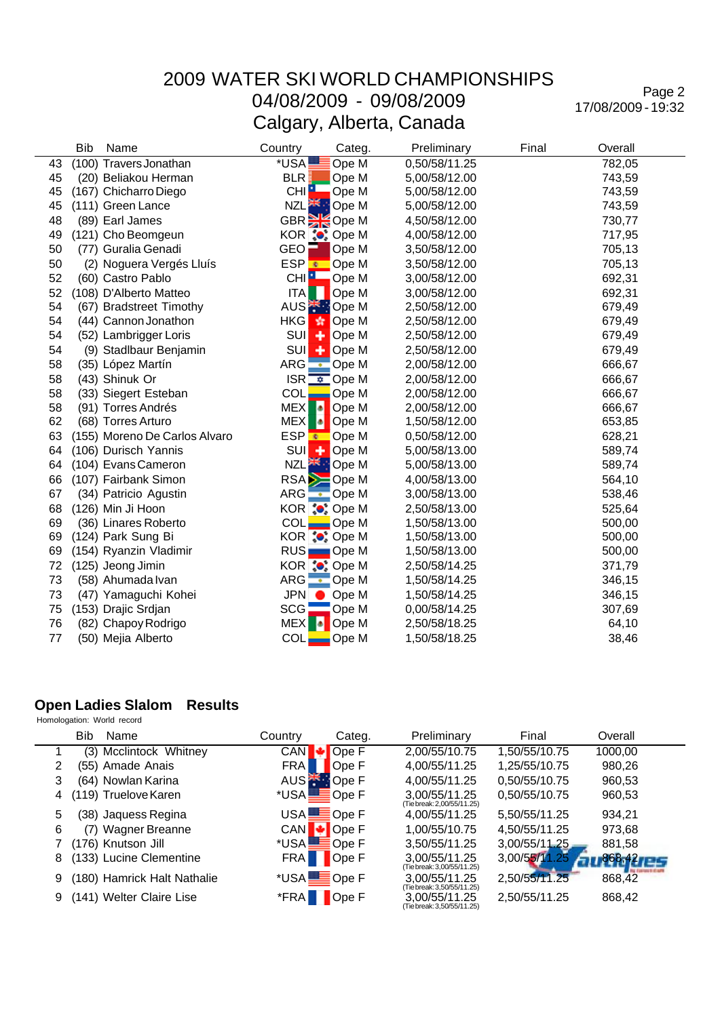Page 2 17/08/2009 - 19:32

| <b>Bib</b> | Name                          | Country            | Categ.                            | Preliminary   | Final | Overall |
|------------|-------------------------------|--------------------|-----------------------------------|---------------|-------|---------|
| 43         | (100) Travers Jonathan        | *USA               | Ope M                             | 0,50/58/11.25 |       | 782,05  |
| 45         | (20) Beliakou Herman          | BLR:               | Ope M                             | 5,00/58/12.00 |       | 743,59  |
| 45         | (167) Chicharro Diego         | CHI <sup>1</sup>   | Ope M                             | 5,00/58/12.00 |       | 743,59  |
| 45         | (111) Green Lance             | NZL <sup>SK</sup>  | Ope M                             | 5,00/58/12.00 |       | 743,59  |
| 48         | (89) Earl James               |                    | GBR Ope M                         | 4,50/58/12.00 |       | 730,77  |
| 49         | (121) Cho Beomgeun            |                    | KOR : Ope M                       | 4,00/58/12.00 |       | 717,95  |
| 50         | (77) Guralia Genadi           | $GEO$ $\Box$       | Ope M                             | 3,50/58/12.00 |       | 705,13  |
| 50         | (2) Noguera Vergés Lluís      | ESP <mark>⊛</mark> | Ope M                             | 3,50/58/12.00 |       | 705,13  |
| 52         | (60) Castro Pablo             | CHI <sup>1</sup>   | Ope M                             | 3,00/58/12.00 |       | 692,31  |
| 52         | (108) D'Alberto Matteo        | ITA                | Ope M                             | 3,00/58/12.00 |       | 692,31  |
| 54         | (67) Bradstreet Timothy       |                    | AUS <sup><sup>*</sup> Ope M</sup> | 2,50/58/12.00 |       | 679,49  |
| 54         | (44) Cannon Jonathon          | <b>HKG</b><br>蠹    | Ope M                             | 2,50/58/12.00 |       | 679,49  |
| 54         | (52) Lambrigger Loris         | <b>SUI</b><br>٠    | Ope M                             | 2,50/58/12.00 |       | 679,49  |
| 54         | (9) Stadlbaur Benjamin        | <b>SUI</b><br>٠    | Ope M                             | 2,50/58/12.00 |       | 679,49  |
| 58         | (35) López Martín             |                    | ARG • Ope M                       | 2,00/58/12.00 |       | 666,67  |
| 58         | (43) Shinuk Or                |                    | $ISR \nightharpoonup$ Ope M       | 2,00/58/12.00 |       | 666,67  |
| 58         | (33) Siegert Esteban          | COL                | Ope M                             | 2,00/58/12.00 |       | 666,67  |
| 58         | (91) Torres Andrés            | Ŀ<br><b>MEX</b>    | Ope M                             | 2,00/58/12.00 |       | 666,67  |
| 62         | (68) Torres Arturo            | Ŀ<br>MEX           | Ope M                             | 1,50/58/12.00 |       | 653,85  |
| 63         | (155) Moreno De Carlos Alvaro |                    | ESP Cope M                        | 0,50/58/12.00 |       | 628,21  |
| 64         | (106) Durisch Yannis          | <b>SUI</b>         | $\leftarrow$ Ope M                | 5,00/58/13.00 |       | 589,74  |
| 64         | (104) Evans Cameron           |                    | NZL <sup>SK</sup> : Ope M         | 5,00/58/13.00 |       | 589,74  |
| 66         | (107) Fairbank Simon          |                    | RSA <b>D</b> Ope M                | 4,00/58/13.00 |       | 564,10  |
| 67         | (34) Patricio Agustin         |                    | ARG C Ope M                       | 3,00/58/13.00 |       | 538,46  |
| 68         | (126) Min Ji Hoon             |                    | KOR <b>:</b> Ope M                | 2,50/58/13.00 |       | 525,64  |
| 69         | (36) Linares Roberto          |                    | $COL$ Ope M                       | 1,50/58/13.00 |       | 500,00  |
| 69         | (124) Park Sung Bi            |                    | KOR : Ope M                       | 1,50/58/13.00 |       | 500,00  |
| 69         | (154) Ryanzin Vladimir        |                    | RUS Ope M                         | 1,50/58/13.00 |       | 500,00  |
| 72         | (125) Jeong Jimin             |                    | KOR : Ope M                       | 2,50/58/14.25 |       | 371,79  |
| 73         | (58) Ahumada Ivan             |                    | ARG • Ope M                       | 1,50/58/14.25 |       | 346,15  |
| 73         | (47) Yamaguchi Kohei          | <b>JPN</b>         | Ope M                             | 1,50/58/14.25 |       | 346,15  |
| 75         | (153) Drajic Srdjan           | <b>SCG</b>         | Ope M                             | 0,00/58/14.25 |       | 307,69  |
| 76         | (82) Chapoy Rodrigo           | <b>MEX</b>         | Ope M                             | 2,50/58/18.25 |       | 64,10   |
| 77         | (50) Mejia Alberto            | <b>COL</b>         | $\equiv$ Ope M                    | 1,50/58/18.25 |       | 38,46   |

# **Open Ladies Slalom Results**<br>Homologation: World record

| Homologation: World record |  |  |
|----------------------------|--|--|
|----------------------------|--|--|

 $\overline{a}$ 

|   | <b>Bib</b><br>Name          | Country    | Categ.                     | Preliminary                                 | Final         | Overall         |
|---|-----------------------------|------------|----------------------------|---------------------------------------------|---------------|-----------------|
|   | (3) Mcclintock Whitney      | <b>CAN</b> | Ope F                      | 2,00/55/10.75                               | 1,50/55/10.75 | 1000,00         |
| 2 | (55) Amade Anais            | <b>FRA</b> | Ope F                      | 4,00/55/11.25                               | 1,25/55/10.75 | 980,26          |
| 3 | (64) Nowlan Karina          |            | AUS <sup>**</sup> Dpe F    | 4.00/55/11.25                               | 0,50/55/10.75 | 960,53          |
| 4 | (119) Truelove Karen        |            | *USA <b>LE</b> Ope F       | 3,00/55/11.25<br>(Tie break: 2,00/55/11.25) | 0,50/55/10.75 | 960,53          |
| 5 | (38) Jaquess Regina         |            | $USA$ $\blacksquare$ Ope F | 4,00/55/11.25                               | 5,50/55/11.25 | 934,21          |
| 6 | Wagner Breanne<br>(7)       |            | CAN <b>↓</b> Ope F         | 1.00/55/10.75                               | 4,50/55/11.25 | 973,68          |
|   | (176) Knutson Jill          |            | *USA DO Ope F              | 3,50/55/11.25                               | 3,00/55/11.25 | 881,58          |
| 8 | (133) Lucine Clementine     | <b>FRA</b> | <b>De</b> F                | 3.00/55/11.25<br>(Tie break: 3,00/55/11.25) | 3,00/55/11.25 | $868,42$ pm $-$ |
| 9 | (180) Hamrick Halt Nathalie |            | *USA <b>LODE</b> Ope F     | 3.00/55/11.25<br>(Tie break: 3,50/55/11.25) | 2,50/55/11.25 | 868,42          |
| 9 | (141) Welter Claire Lise    |            | *FRA Ope F                 | 3.00/55/11.25<br>(Tie break: 3,50/55/11.25) | 2,50/55/11.25 | 868,42          |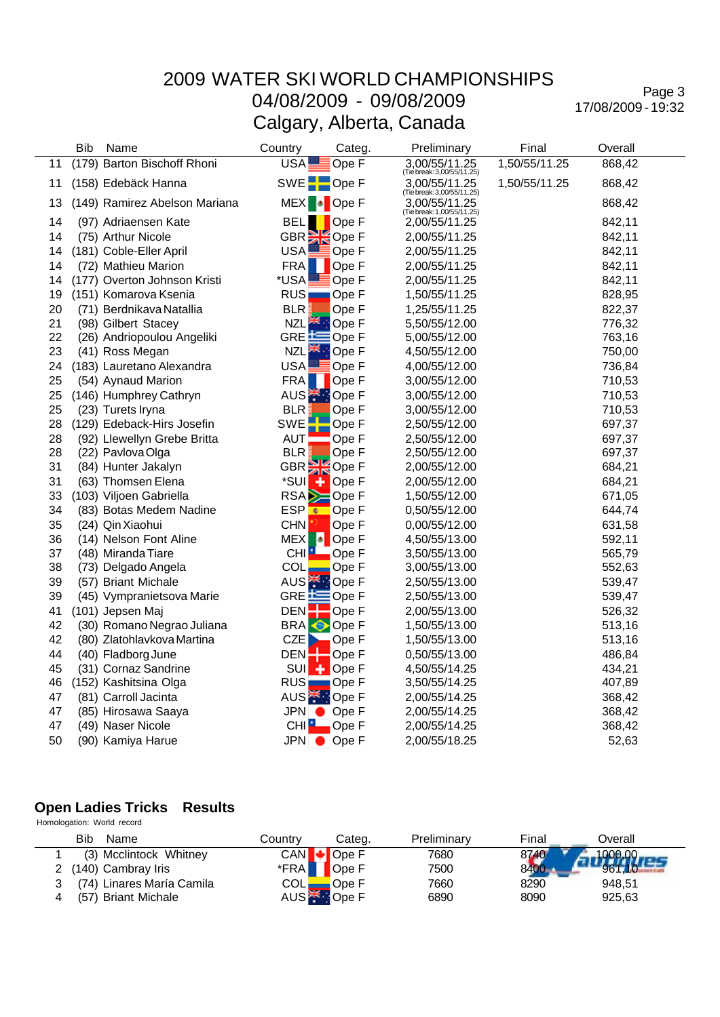### 2009 WATER SKI WORLD CHAMPIONSHIPS 04/08/2009 - 09/08/2009

Calgary, Alberta, Canada

Page 3 17/08/2009 - 19:32

|    | Bib | Name                          | Country                   | Categ.                     | Preliminary                                 | Final         | Overall |
|----|-----|-------------------------------|---------------------------|----------------------------|---------------------------------------------|---------------|---------|
| 11 |     | (179) Barton Bischoff Rhoni   | USA!                      | $\Box$ Ope F               | 3,00/55/11.25<br>(Tie break: 3,00/55/11.25) | 1,50/55/11.25 | 868,42  |
| 11 |     | (158) Edebäck Hanna           | SWE <sup>-</sup> Ope F    |                            | 3,00/55/11.25<br>(Tiebreak: 3,00/55/11.25)  | 1,50/55/11.25 | 868,42  |
| 13 |     | (149) Ramirez Abelson Mariana | MEX <sup>1</sup> Ope F    |                            | 3,00/55/11.25<br>(Tie break: 1,00/55/11.25) |               | 868,42  |
| 14 |     | (97) Adriaensen Kate          | BELI                      | Ope F                      | 2,00/55/11.25                               |               | 842,11  |
| 14 |     | (75) Arthur Nicole            | GBR <sup>3</sup> Ope F    |                            | 2,00/55/11.25                               |               | 842,11  |
| 14 |     | (181) Coble-Eller April       | USA!                      | $\sqrt{\phantom{a}}$ Ope F | 2,00/55/11.25                               |               | 842,11  |
| 14 |     | (72) Mathieu Marion           | <b>FRA</b>                | Ope F                      | 2,00/55/11.25                               |               | 842,11  |
| 14 |     | (177) Overton Johnson Kristi  | *USA                      | Ope F                      | 2,00/55/11.25                               |               | 842,11  |
| 19 |     | (151) Komarova Ksenia         | <b>RUS</b>                | $\blacksquare$ Ope F       | 1,50/55/11.25                               |               | 828,95  |
| 20 |     | (71) Berdnikava Natallia      | <b>BLR</b>                | Ope F                      | 1,25/55/11.25                               |               | 822,37  |
| 21 |     | (98) Gilbert Stacey           | <b>NZL</b>                | <b>D</b> Ope F             | 5,50/55/12.00                               |               | 776,32  |
| 22 |     | (26) Andriopoulou Angeliki    | GRE $\equiv$ Ope F        |                            | 5,00/55/12.00                               |               | 763,16  |
| 23 |     | (41) Ross Megan               | NZL <sup>SK</sup> : Ope F |                            | 4,50/55/12.00                               |               | 750,00  |
| 24 |     | (183) Lauretano Alexandra     | <b>USA</b>                | $\blacksquare$ Ope F       | 4,00/55/12.00                               |               | 736,84  |
| 25 |     | (54) Aynaud Marion            | <b>FRA</b>                | Ope F                      | 3,00/55/12.00                               |               | 710,53  |
| 25 |     | (146) Humphrey Cathryn        | AUS <sup>*</sup> : Ope F  |                            | 3,00/55/12.00                               |               | 710,53  |
| 25 |     | (23) Turets Iryna             | <b>BLR</b>                | Ope F                      | 3,00/55/12.00                               |               | 710,53  |
| 28 |     | (129) Edeback-Hirs Josefin    | <b>SWE</b>                | Ope F                      | 2,50/55/12.00                               |               | 697,37  |
| 28 |     | (92) Llewellyn Grebe Britta   | AUT                       | Ope F                      | 2,50/55/12.00                               |               | 697,37  |
| 28 |     | (22) Pavlova Olga             | <b>BLR</b>                | Ope F                      | 2,50/55/12.00                               |               | 697,37  |
| 31 |     | (84) Hunter Jakalyn           | GBR <sup>S</sup> Ope F    |                            | 2,00/55/12.00                               |               | 684,21  |
| 31 |     | (63) Thomsen Elena            | *SUI<br>۰                 | Ope F                      | 2,00/55/12.00                               |               | 684,21  |
| 33 |     | (103) Viljoen Gabriella       | <b>RSA</b>                | Ope F                      | 1,50/55/12.00                               |               | 671,05  |
| 34 |     | (83) Botas Medem Nadine       | ESP<br>×                  | Ope F                      | 0,50/55/12.00                               |               | 644,74  |
| 35 |     | (24) Qin Xiaohui              | <b>CHN</b>                | Ope F                      | 0,00/55/12.00                               |               | 631,58  |
| 36 |     | (14) Nelson Font Aline        | <b>MEX</b><br>ы           | Ope F                      | 4,50/55/13.00                               |               | 592,11  |
| 37 |     | (48) Miranda Tiare            | CHI                       | Ope F                      | 3,50/55/13.00                               |               | 565,79  |
| 38 |     | (73) Delgado Angela           | COL                       | Ope F                      | 3,00/55/13.00                               |               | 552,63  |
| 39 |     | (57) Briant Michale           | AUS <sup>*</sup> : Ope F  |                            | 2,50/55/13.00                               |               | 539,47  |
| 39 |     | (45) Vympranietsova Marie     | GRE EQpe F                |                            | 2,50/55/13.00                               |               | 539,47  |
| 41 |     | (101) Jepsen Maj              | DEN:                      | Ope F                      | 2,00/55/13.00                               |               | 526,32  |
| 42 |     | (30) Romano Negrao Juliana    | <b>BRA</b>                | Ope F                      | 1,50/55/13.00                               |               | 513,16  |
| 42 |     | (80) Zlatohlavkova Martina    | CZE                       | Ope F                      | 1,50/55/13.00                               |               | 513,16  |
| 44 |     | (40) Fladborg June            | <b>DEN</b>                | $\blacksquare$ Ope F       | 0,50/55/13.00                               |               | 486,84  |
| 45 |     | (31) Cornaz Sandrine          | <b>SUI</b>                | $\leftarrow$ Ope F         | 4,50/55/14.25                               |               | 434,21  |
| 46 |     | (152) Kashitsina Olga         | RUS <sub>I</sub>          | $\blacksquare$ Ope F       | 3,50/55/14.25                               |               | 407,89  |
| 47 |     | (81) Carroll Jacinta          | AUS <sup>*</sup> : Ope F  |                            | 2,00/55/14.25                               |               | 368,42  |
| 47 |     | (85) Hirosawa Saaya           | JPN Ope F                 |                            | 2,00/55/14.25                               |               | 368,42  |
| 47 |     | (49) Naser Nicole             | CHI <sup>I</sup>          | $\Box$ Ope F               | 2,00/55/14.25                               |               | 368,42  |
| 50 |     | (90) Kamiya Harue             | JPN Ope F                 |                            | 2,00/55/18.25                               |               | 52,63   |

#### **Open Ladies Tricks Results** Homologation: World record

| Bib<br>Name               | Countrv                       | Cateɑ.       | Preliminary | Final | Overall |
|---------------------------|-------------------------------|--------------|-------------|-------|---------|
| (3) Mcclintock Whitney    |                               | CAN DP Dpe F | 7680        | 8740  |         |
| 2 (140) Cambray Iris      | $*$ FRA $\blacksquare$        | Ope F        | 7500        | 8400  | 961.10  |
| (74) Linares María Camila | $COL$ $\qquad \qquad \bullet$ | Ope F        | 7660        | 8290  | 948.51  |
| (57) Briant Michale       |                               | AUS TOPE F   | 6890        | 8090  | 925.63  |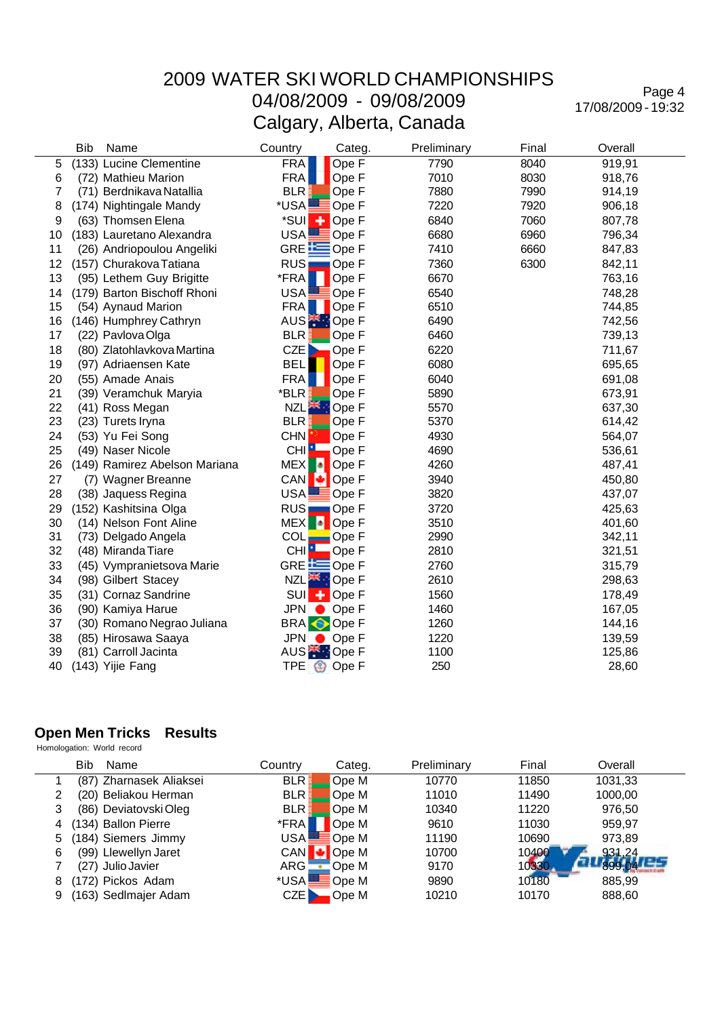Page 4 17/08/2009 - 19:32

|    | <b>Bib</b><br>Name            | Country          | Categ.                    | Preliminary | Final | Overall |
|----|-------------------------------|------------------|---------------------------|-------------|-------|---------|
| 5  | (133) Lucine Clementine       | <b>FRA</b>       | Ope F                     | 7790        | 8040  | 919,91  |
| 6  | (72) Mathieu Marion           | <b>FRA</b>       | Ope F                     | 7010        | 8030  | 918,76  |
| 7  | (71) Berdnikava Natallia      | <b>BLR</b>       | Ope F                     | 7880        | 7990  | 914,19  |
| 8  | (174) Nightingale Mandy       | *USA             | Ope F                     | 7220        | 7920  | 906,18  |
| 9  | (63) Thomsen Elena            | *SUI<br>٠        | Ope F                     | 6840        | 7060  | 807,78  |
| 10 | (183) Lauretano Alexandra     | <b>USA</b>       | $\equiv$ Ope F            | 6680        | 6960  | 796,34  |
| 11 | (26) Andriopoulou Angeliki    |                  | GRE EOpe F                | 7410        | 6660  | 847,83  |
| 12 | (157) Churakova Tatiana       | RUS <sub>I</sub> | $\blacksquare$ Ope F      | 7360        | 6300  | 842,11  |
| 13 | (95) Lethem Guy Brigitte      | *FRA             | Ope F                     | 6670        |       | 763,16  |
| 14 | (179) Barton Bischoff Rhoni   | <b>USA</b>       | Ope F                     | 6540        |       | 748,28  |
| 15 | (54) Aynaud Marion            | <b>FRA</b>       | Ope F                     | 6510        |       | 744,85  |
| 16 | (146) Humphrey Cathryn        |                  | AUS <sup>*</sup> : Ope F  | 6490        |       | 742,56  |
| 17 | (22) Pavlova Olga             | <b>BLR</b>       | Ope F                     | 6460        |       | 739,13  |
| 18 | (80) Zlatohlavkova Martina    | CZE              | Ope F                     | 6220        |       | 711,67  |
| 19 | (97) Adriaensen Kate          | <b>BEL</b>       | Ope F                     | 6080        |       | 695,65  |
| 20 | (55) Amade Anais              | <b>FRA</b>       | Ope F                     | 6040        |       | 691,08  |
| 21 | (39) Veramchuk Maryia         | *BLR             | Ope F                     | 5890        |       | 673,91  |
| 22 | (41) Ross Megan               | <b>NZLE</b>      | Ope F                     | 5570        |       | 637,30  |
| 23 | (23) Turets Iryna             | <b>BLR</b>       | Ope F                     | 5370        |       | 614,42  |
| 24 | (53) Yu Fei Song              | <b>CHN</b>       | Ope F                     | 4930        |       | 564,07  |
| 25 | (49) Naser Nicole             | CHI <sup>1</sup> | Ope F                     | 4690        |       | 536,61  |
| 26 | (149) Ramirez Abelson Mariana | -6<br><b>MEX</b> | Ope F                     | 4260        |       | 487,41  |
| 27 | (7) Wagner Breanne            | <b>CAN</b><br>ю  | Ope F                     | 3940        |       | 450,80  |
| 28 | (38) Jaquess Regina           | USA.             | ≣Ope F                    | 3820        |       | 437,07  |
| 29 | (152) Kashitsina Olga         | RUS <sub>I</sub> | $\blacksquare$ Ope F      | 3720        |       | 425,63  |
| 30 | (14) Nelson Font Aline        | MEX <sup>1</sup> | Ope F                     | 3510        |       | 401,60  |
| 31 | (73) Delgado Angela           | <b>COL</b>       | $\blacksquare$ Ope F      | 2990        |       | 342,11  |
| 32 | (48) Miranda Tiare            | CHI <sup>L</sup> | Ope F                     | 2810        |       | 321,51  |
| 33 | (45) Vympranietsova Marie     |                  | GRE EOpe F                | 2760        |       | 315,79  |
| 34 | (98) Gilbert Stacey           |                  | NZL <sup>ak</sup> : Ope F | 2610        |       | 298,63  |
| 35 | (31) Cornaz Sandrine          | SUI <sup>+</sup> | Ope F                     | 1560        |       | 178,49  |
| 36 | (90) Kamiya Harue             |                  | $JPN$ $OpeF$              | 1460        |       | 167,05  |
| 37 | (30) Romano Negrao Juliana    |                  | <b>BRA</b> Ope F          | 1260        |       | 144,16  |
| 38 | (85) Hirosawa Saaya           |                  | $JPN$ $OpeF$              | 1220        |       | 139,59  |
| 39 | (81) Carroll Jacinta          |                  | AUS <sup>*</sup> : Ope F  | 1100        |       | 125,86  |
| 40 | (143) Yijie Fang              |                  | TPE <b>OD</b> Ope F       | 250         |       | 28,60   |

#### **Open Men Tricks Results**

Homologation: World record

|   | Bib<br>Name             | Countrv      | Categ. | Preliminary | Final | Overall |
|---|-------------------------|--------------|--------|-------------|-------|---------|
|   | (87) Zharnasek Aliaksei | <b>BLR</b>   | Ope M  | 10770       | 11850 | 1031,33 |
|   | (20) Beliakou Herman    | <b>BLR</b>   | Ope M  | 11010       | 11490 | 1000,00 |
| 3 | (86) Deviatovski Oleg   | <b>BLR</b>   | Ope M  | 10340       | 11220 | 976,50  |
| 4 | (134) Ballon Pierre     | *FRA         | Ope M  | 9610        | 11030 | 959.97  |
|   | 184) Siemers Jimmy      | USA          | ≣Ope M | 11190       | 10690 | 973.89  |
| 6 | (99) Llewellyn Jaret    | CAN +        | Ope M  | 10700       | 10400 | 931,24  |
|   | (27) Julio Javier       | ARG <b>.</b> | Ope M  | 9170        | 10330 |         |
| 8 | (172) Pickos Adam       | *USAL        | Ope M  | 9890        | 10180 | 885,99  |
| 9 | 163) Sedlmajer Adam     | CZE I        | Ope M  | 10210       | 10170 | 888,60  |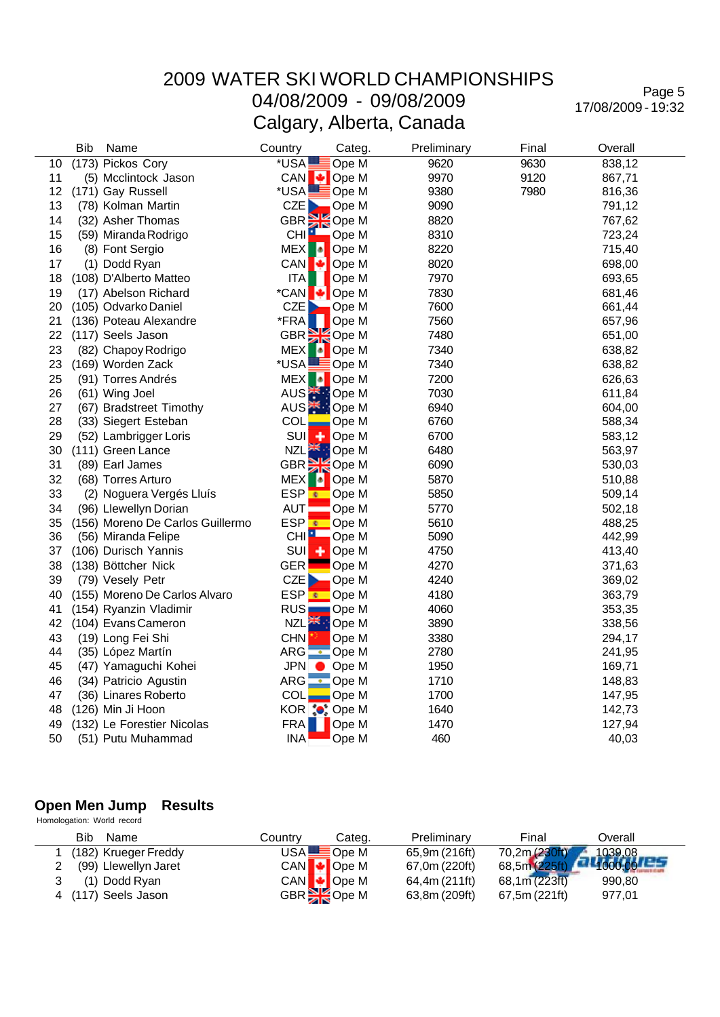Page 5 17/08/2009 - 19:32

|    | <b>Bib</b> | Name                             | Country                            | Categ.                    | Preliminary | Final | Overall |  |
|----|------------|----------------------------------|------------------------------------|---------------------------|-------------|-------|---------|--|
| 10 |            | (173) Pickos Cory                | *USA                               | Ope M                     | 9620        | 9630  | 838,12  |  |
| 11 |            | (5) Mcclintock Jason             | CAN                                | Ope M                     | 9970        | 9120  | 867,71  |  |
| 12 |            | (171) Gay Russell                | *USA                               | $\blacksquare$ Ope M      | 9380        | 7980  | 816,36  |  |
| 13 |            | (78) Kolman Martin               | <b>CZE</b>                         | Ope M                     | 9090        |       | 791,12  |  |
| 14 |            | (32) Asher Thomas                | GBR Ope M<br>CHI Ope M             |                           | 8820        |       | 767,62  |  |
| 15 |            | (59) Miranda Rodrigo             |                                    |                           | 8310        |       | 723,24  |  |
| 16 |            | (8) Font Sergio                  | -la<br><b>MEX</b>                  | Ope M                     | 8220        |       | 715,40  |  |
| 17 |            | (1) Dodd Ryan                    | <b>CAN</b><br>ю                    | Ope M                     | 8020        |       | 698,00  |  |
| 18 |            | (108) D'Alberto Matteo           | <b>ITA</b>                         | Ope M                     | 7970        |       | 693,65  |  |
| 19 |            | (17) Abelson Richard             | *CAN                               | $\bigcup$ Ope M           | 7830        |       | 681,46  |  |
| 20 |            | (105) Odvarko Daniel             | CZE<br>D                           | Ope M                     | 7600        |       | 661,44  |  |
| 21 |            | (136) Poteau Alexandre           | *FRA                               | Ope M                     | 7560        |       | 657,96  |  |
| 22 |            | (117) Seels Jason                | GBR <sup>S</sup> Ope M             |                           | 7480        |       | 651,00  |  |
| 23 |            | (82) Chapoy Rodrigo              | <b>MEX</b>                         | Ope M                     | 7340        |       | 638,82  |  |
| 23 |            | (169) Worden Zack                | *USA                               | Ope M                     | 7340        |       | 638,82  |  |
| 25 |            | (91) Torres Andrés               | MEX <sup>1</sup>                   | <b>D</b> Ope M            | 7200        |       | 626,63  |  |
| 26 |            | (61) Wing Joel                   | AUS <sup><sup>*</sup>: Ope M</sup> |                           | 7030        |       | 611,84  |  |
| 27 |            | (67) Bradstreet Timothy          | AUS <sup><sup>*</sup> Ope M</sup>  |                           | 6940        |       | 604,00  |  |
| 28 |            | (33) Siegert Esteban             | COL                                | Ope M                     | 6760        |       | 588,34  |  |
| 29 |            | (52) Lambrigger Loris            | <b>SUI</b>                         | $\left  \right $ Ope M    | 6700        |       | 583,12  |  |
| 30 |            | (111) Green Lance                |                                    | NZL <sup>SK</sup> : Ope M | 6480        |       | 563,97  |  |
| 31 |            | (89) Earl James                  | GBR <sup>SK</sup> Ope M            |                           | 6090        |       | 530,03  |  |
| 32 |            | (68) Torres Arturo               | <b>MEX</b><br>- 10                 | Ope M                     | 5870        |       | 510,88  |  |
| 33 |            | (2) Noguera Vergés Lluís         | <b>ESP</b> <sup></sup>             | Ope M                     | 5850        |       | 509,14  |  |
| 34 |            | (96) Llewellyn Dorian            | <b>AUT</b>                         | Ope M                     | 5770        |       | 502,18  |  |
| 35 |            | (156) Moreno De Carlos Guillermo | ESP <sup>€</sup> Ope M             |                           | 5610        |       | 488,25  |  |
| 36 |            | (56) Miranda Felipe              |                                    | CHI <b>N</b> Ope M        | 5090        |       | 442,99  |  |
| 37 |            | (106) Durisch Yannis             | <b>SUI</b><br>٠                    | Ope M                     | 4750        |       | 413,40  |  |
| 38 |            | (138) Böttcher Nick              | <b>GER</b>                         | Ope M                     | 4270        |       | 371,63  |  |
| 39 |            | (79) Vesely Petr                 | CZE                                | Ope M                     | 4240        |       | 369,02  |  |
| 40 |            | (155) Moreno De Carlos Alvaro    | <b>ESP</b>                         | <mark>⊕</mark> Ope M      | 4180        |       | 363,79  |  |
| 41 |            | (154) Ryanzin Vladimir           | <b>RUS</b>                         | $\Box$ Ope M              | 4060        |       | 353,35  |  |
| 42 |            | (104) Evans Cameron              |                                    | NZL <sup>SK</sup> : Ope M | 3890        |       | 338,56  |  |
| 43 |            | (19) Long Fei Shi                | <b>CHN</b>                         | Ope M                     | 3380        |       | 294,17  |  |
| 44 |            | (35) López Martín                | ARG C Ope M                        |                           | 2780        |       | 241,95  |  |
| 45 |            | (47) Yamaguchi Kohei             | <b>JPN</b>                         | $\bullet$ Ope M           | 1950        |       | 169,71  |  |
| 46 |            | (34) Patricio Agustin            | ARG • Ope M                        |                           | 1710        |       | 148,83  |  |
| 47 |            | (36) Linares Roberto             | $COL$ Ope M                        |                           | 1700        |       | 147,95  |  |
| 48 |            | (126) Min Ji Hoon                | KOR : Ope M                        |                           | 1640        |       | 142,73  |  |
| 49 |            | (132) Le Forestier Nicolas       | <b>FRA</b>                         | Ope M                     | 1470        |       | 127,94  |  |
| 50 |            | (51) Putu Muhammad               | <b>INA</b>                         | Ope M                     | 460         |       | 40,03   |  |

#### **Open Men Jump Results**

 Homologation: World record Bib Name **Country Categ.** Preliminary Final Overall Country Categ. Preliminary Final Overall Coverall COUNTY CATE Ope M 65,9m (216ft) 70,2m (230ft) 1039,08 1 (182) Krueger Freddy USA Ope M 65,9m (216ft) 70,2m (230ft) 1039,08<br>2 (99) Llewellyn Jaret CAN Dpe M 67,0m (220ft) 68,5m (225ft) 1000,00  $(99)$  Llewellyn Jaret CAN CAN Ope M 67,0m (220ft) 68,5m (225ft) 11000,00<br>
CAN Ope M 64,4m (211ft) 68,1m (223ft) 990,80 3 (1) Dodd Ryan CAN Ope M 64,4m (211ft)<br>4 (117) Seels Jason GBR COPE M 63,8m (209ft) 4 (117) Seels Jason GBR Ope M 63,8m (209ft) 67,5m (221ft) 977,01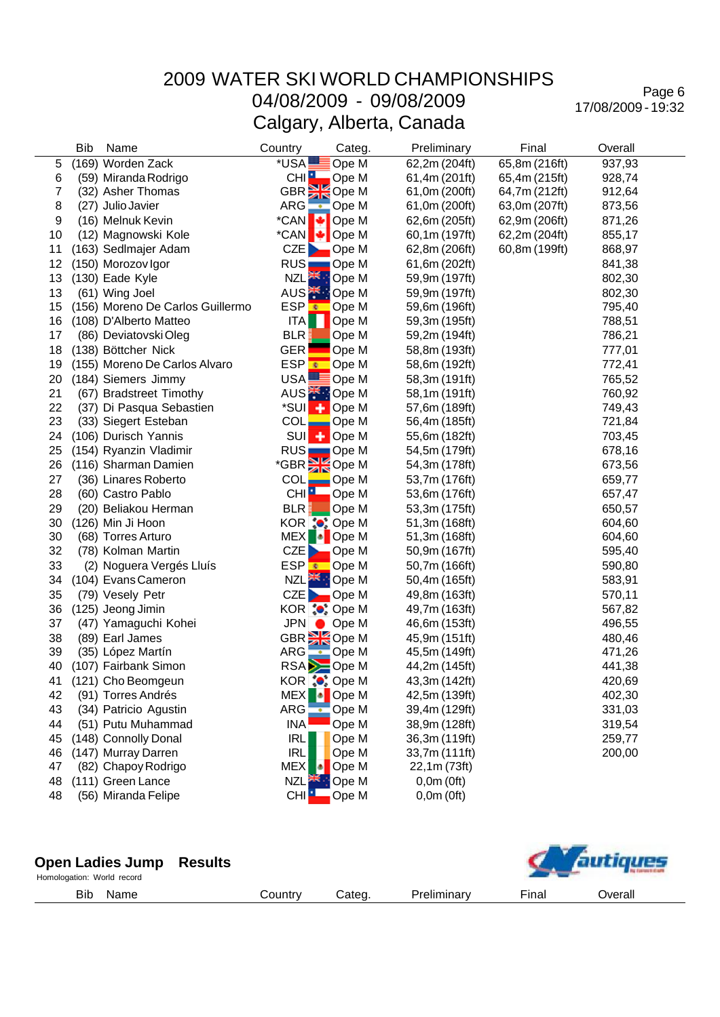Page 6 17/08/2009 - 19:32

|    | <b>Bib</b> | Name                             | Country                         | Categ.                   | Preliminary   | Final         | Overall |
|----|------------|----------------------------------|---------------------------------|--------------------------|---------------|---------------|---------|
| 5  |            | (169) Worden Zack                | *USA                            | Ope M                    | 62,2m (204ft) | 65,8m (216ft) | 937,93  |
| 6  |            | (59) Miranda Rodrigo             |                                 | CHI <b>P</b> Ope M       | 61,4m (201ft) | 65,4m (215ft) | 928,74  |
| 7  |            | (32) Asher Thomas                |                                 | GBR <sup>3</sup> Ope M   | 61,0m (200ft) | 64,7m (212ft) | 912,64  |
| 8  |            | (27) Julio Javier                | ARG<br>$\overline{\phantom{a}}$ | Ope M                    | 61,0m (200ft) | 63,0m (207ft) | 873,56  |
| 9  |            | (16) Melnuk Kevin                | ø<br>*CAN                       | Ope M                    | 62,6m (205ft) | 62,9m (206ft) | 871,26  |
| 10 |            | (12) Magnowski Kole              |                                 | *CAN + Ope M             | 60,1m (197ft) | 62,2m (204ft) | 855,17  |
| 11 |            | (163) Sedlmajer Adam             | CZE                             | $\blacksquare$ Ope M     | 62,8m (206ft) | 60,8m (199ft) | 868,97  |
| 12 |            | (150) Morozov Igor               |                                 | RUS Ope M                | 61,6m (202ft) |               | 841,38  |
| 13 |            | (130) Eade Kyle                  |                                 | NZL <sup>E</sup> Ope M   | 59,9m (197ft) |               | 802,30  |
| 13 |            | (61) Wing Joel                   |                                 | AUS <sup>*</sup> : Ope M | 59,9m (197ft) |               | 802,30  |
| 15 |            | (156) Moreno De Carlos Guillermo | ESP <mark>_€</mark>             | Ope M                    | 59,6m (196ft) |               | 795,40  |
| 16 |            | (108) D'Alberto Matteo           | <b>ITA</b>                      | Ope M                    | 59,3m (195ft) |               | 788,51  |
| 17 |            | (86) Deviatovski Oleg            | BLR.                            | Ope M                    | 59,2m (194ft) |               | 786,21  |
| 18 |            | (138) Böttcher Nick              | <b>GER</b>                      | Ope M                    | 58,8m (193ft) |               | 777,01  |
| 19 |            | (155) Moreno De Carlos Alvaro    | ESP <mark>⊛</mark>              | Ope M                    | 58,6m (192ft) |               | 772,41  |
| 20 |            | (184) Siemers Jimmy              |                                 | USA <b>L</b> Ope M       | 58,3m (191ft) |               | 765,52  |
| 21 |            | (67) Bradstreet Timothy          |                                 | AUS <sup>X</sup> : Ope M | 58,1m (191ft) |               | 760,92  |
| 22 |            | (37) Di Pasqua Sebastien         |                                 | *SUI + Ope M             | 57,6m (189ft) |               | 749,43  |
| 23 |            | (33) Siegert Esteban             | <b>COL</b>                      | $\Box$ Ope M             | 56,4m (185ft) |               | 721,84  |
| 24 |            | (106) Durisch Yannis             |                                 | SUI <sub>4</sub> POpe M  | 55,6m (182ft) |               | 703,45  |
| 25 |            | (154) Ryanzin Vladimir           |                                 | RUS Ope M                | 54,5m (179ft) |               | 678,16  |
| 26 |            | (116) Sharman Damien             |                                 | *GBR Ope M               | 54,3m (178ft) |               | 673,56  |
| 27 |            | (36) Linares Roberto             | <b>COL</b>                      | $\Box$ Ope M             | 53,7m (176ft) |               | 659,77  |
| 28 |            | (60) Castro Pablo                | CHI <sup>H</sup>                | Ope M                    | 53,6m (176ft) |               | 657,47  |
| 29 |            | (20) Beliakou Herman             | BLR.                            | Ope M                    | 53,3m (175ft) |               | 650,57  |
| 30 |            | (126) Min Ji Hoon                |                                 | KOR : Ope M              | 51,3m (168ft) |               | 604,60  |
| 30 |            | (68) Torres Arturo               |                                 | MEX Ope M                | 51,3m (168ft) |               | 604,60  |
| 32 |            | (78) Kolman Martin               |                                 | $CZE$ Ope M              | 50,9m (167ft) |               | 595,40  |
| 33 |            | (2) Noguera Vergés Lluís         |                                 | ESP CDe M                | 50,7m (166ft) |               | 590,80  |
| 34 |            | (104) Evans Cameron              |                                 | NZL <sup>2</sup> Ope M   | 50,4m (165ft) |               | 583,91  |
| 35 |            | (79) Vesely Petr                 |                                 | CZE Ope M                | 49,8m (163ft) |               | 570,11  |
| 36 |            | (125) Jeong Jimin                |                                 | KOR : Ope M              | 49,7m (163ft) |               | 567,82  |
| 37 |            | (47) Yamaguchi Kohei             |                                 | JPN Ope M                | 46,6m (153ft) |               | 496,55  |
| 38 |            | (89) Earl James                  |                                 | GBR <sup>3</sup> Ope M   | 45,9m (151ft) |               | 480,46  |
| 39 |            | (35) López Martín                |                                 | ARG C Ope M              | 45,5m (149ft) |               | 471,26  |
| 40 |            | (107) Fairbank Simon             |                                 | RSA <b>D</b> Ope M       | 44,2m (145ft) |               | 441,38  |
| 41 |            | (121) Cho Beomgeun               |                                 | KOR ¦●: Ope M            | 43,3m (142ft) |               | 420,69  |
| 42 |            | (91) Torres Andrés               | <b>MEX</b><br>٠ø                | Ope M                    | 42,5m (139ft) |               | 402,30  |
| 43 |            | (34) Patricio Agustin            | ARG                             | $\bullet$ Ope M          | 39,4m (129ft) |               | 331,03  |
| 44 |            | (51) Putu Muhammad               | <b>INA</b>                      | Ope M                    | 38,9m (128ft) |               | 319,54  |
| 45 |            | (148) Connolly Donal             | <b>IRL</b>                      | Ope M                    | 36,3m (119ft) |               | 259,77  |
| 46 |            | (147) Murray Darren              | <b>IRL</b>                      | Ope M                    | 33,7m (111ft) |               | 200,00  |
| 47 |            | (82) Chapoy Rodrigo              | <b>MEX</b>                      | Ope M                    | 22,1m (73ft)  |               |         |
| 48 |            | (111) Green Lance                | <b>NZL</b>                      | Ope M                    | 0,0m(0ft)     |               |         |
| 48 |            | (56) Miranda Felipe              | CHI <sup>1</sup>                | Ope M                    | 0,0m(0ft)     |               |         |

| <b>Open Ladies Jump Results</b><br>Homologation: World record |         |        |             |       | <i><b><u><u><u><u>autiques</u></u></u></u></b></i> |
|---------------------------------------------------------------|---------|--------|-------------|-------|----------------------------------------------------|
| Bib<br>Name                                                   | Countrv | Categ. | Preliminary | Final | Overall                                            |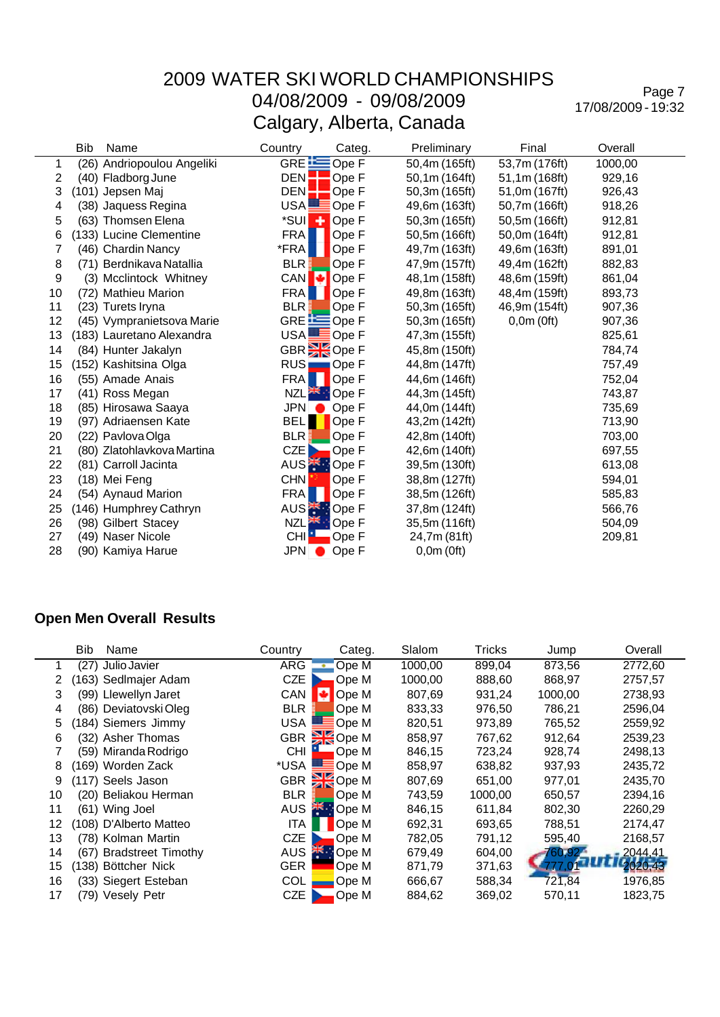Page 7 17/08/2009 - 19:32

|    | <b>Bib</b> | Name                       | Country          | Categ.                    | Preliminary   | Final         | Overall |  |
|----|------------|----------------------------|------------------|---------------------------|---------------|---------------|---------|--|
| 1  |            | (26) Andriopoulou Angeliki | GRE $E$          | Ope F                     | 50,4m (165ft) | 53,7m (176ft) | 1000,00 |  |
| 2  |            | (40) Fladborg June         | DEN:             | Ope F                     | 50,1m (164ft) | 51,1m (168ft) | 929,16  |  |
| 3  |            | (101) Jepsen Maj           | DEN:             | Ope F                     | 50,3m (165ft) | 51,0m (167ft) | 926,43  |  |
| 4  |            | (38) Jaquess Regina        | USA <b>L</b>     | Ope F                     | 49,6m (163ft) | 50,7m (166ft) | 918,26  |  |
| 5  |            | (63) Thomsen Elena         | *SUI             | ٠<br>Ope F                | 50,3m (165ft) | 50,5m (166ft) | 912,81  |  |
| 6  |            | (133) Lucine Clementine    | <b>FRA</b>       | Ope F                     | 50,5m (166ft) | 50,0m (164ft) | 912,81  |  |
| 7  |            | (46) Chardin Nancy         | *FRA             | Ope F                     | 49,7m (163ft) | 49,6m (163ft) | 891,01  |  |
| 8  |            | (71) Berdnikava Natallia   | BLR :            | Ope F                     | 47,9m (157ft) | 49,4m (162ft) | 882,83  |  |
| 9  |            | (3) Mcclintock Whitney     | CAN →            | Ope F                     | 48,1m (158ft) | 48,6m (159ft) | 861,04  |  |
| 10 |            | (72) Mathieu Marion        | <b>FRA</b>       | Ope F                     | 49,8m (163ft) | 48,4m (159ft) | 893,73  |  |
| 11 |            | (23) Turets Iryna          | <b>BLR</b>       | Ope F                     | 50,3m (165ft) | 46,9m (154ft) | 907,36  |  |
| 12 |            | (45) Vympranietsova Marie  |                  | GRE <b>E</b> Ope F        | 50,3m (165ft) | 0,0m(0ft)     | 907,36  |  |
| 13 |            | (183) Lauretano Alexandra  |                  | USA <b>LE</b> Ope F       | 47,3m (155ft) |               | 825,61  |  |
| 14 |            | (84) Hunter Jakalyn        |                  | GBR <sup>3</sup> Ope F    | 45,8m (150ft) |               | 784,74  |  |
| 15 |            | (152) Kashitsina Olga      |                  | RUS <b>No.</b> Ope F      | 44,8m (147ft) |               | 757,49  |  |
| 16 |            | (55) Amade Anais           | <b>FRA</b>       | Ope F                     | 44,6m (146ft) |               | 752,04  |  |
| 17 |            | (41) Ross Megan            |                  | NZL <sup>AK</sup> : Ope F | 44,3m (145ft) |               | 743,87  |  |
| 18 |            | (85) Hirosawa Saaya        | JPN O            | Ope F                     | 44,0m (144ft) |               | 735,69  |  |
| 19 |            | (97) Adriaensen Kate       | <b>BELT</b>      | Ope F                     | 43,2m (142ft) |               | 713,90  |  |
| 20 |            | (22) Pavlova Olga          | BLR              | Ope F                     | 42,8m (140ft) |               | 703,00  |  |
| 21 |            | (80) Zlatohlavkova Martina | CZE <sub>D</sub> | Ope F                     | 42,6m (140ft) |               | 697,55  |  |
| 22 |            | (81) Carroll Jacinta       |                  | AUS <sup>-</sup> Ope F    | 39,5m (130ft) |               | 613,08  |  |
| 23 |            | (18) Mei Feng              | <b>CHN</b>       | Ope F                     | 38,8m (127ft) |               | 594,01  |  |
| 24 |            | (54) Aynaud Marion         | <b>FRA</b>       | Ope F                     | 38,5m (126ft) |               | 585,83  |  |
| 25 |            | (146) Humphrey Cathryn     |                  | AUS <sup>-</sup> Ope F    | 37,8m (124ft) |               | 566,76  |  |
| 26 |            | (98) Gilbert Stacey        |                  | NZL <sup>AK</sup> : Ope F | 35,5m (116ft) |               | 504,09  |  |
| 27 |            | (49) Naser Nicole          | CHI <sup>1</sup> | Ope F                     | 24,7m (81ft)  |               | 209,81  |  |
| 28 |            | (90) Kamiya Harue          | JPN O            | Ope F                     | 0,0m(0ft)     |               |         |  |

#### **Open Men Overall Results**

|    | Bib   | Name                      | Country    | Categ.            | Slalom  | Tricks  | Jump    | Overall |
|----|-------|---------------------------|------------|-------------------|---------|---------|---------|---------|
|    |       | (27) Julio Javier         | <b>ARG</b> | Ope M<br>÷        | 1000,00 | 899,04  | 873,56  | 2772,60 |
|    |       | (163) Sedlmajer Adam      | <b>CZE</b> | Ope M             | 1000,00 | 888,60  | 868,97  | 2757,57 |
| 3  |       | (99) Llewellyn Jaret      | CAN        | м<br>Ope M        | 807,69  | 931,24  | 1000,00 | 2738,93 |
| 4  |       | (86) Deviatovski Oleg     | <b>BLR</b> | Ope M             | 833,33  | 976,50  | 786,21  | 2596,04 |
| 5  |       | (184) Siemers Jimmy       | <b>USA</b> | Ope M             | 820,51  | 973,89  | 765,52  | 2559,92 |
| 6  |       | (32) Asher Thomas         |            | GBR SOPE M        | 858,97  | 767.62  | 912,64  | 2539,23 |
|    |       | (59) Miranda Rodrigo      | <b>CHI</b> | Ope M             | 846,15  | 723,24  | 928,74  | 2498,13 |
| 8  |       | (169) Worden Zack         | *USA       | Ope M             | 858,97  | 638,82  | 937,93  | 2435,72 |
| 9  |       | (117) Seels Jason         |            | GBR SOpe M        | 807,69  | 651,00  | 977,01  | 2435,70 |
| 10 |       | (20) Beliakou Herman      | <b>BLR</b> | Ope M             | 743,59  | 1000,00 | 650,57  | 2394,16 |
| 11 |       | (61) Wing Joel            | <b>AUS</b> | <b>AND</b> Ope M  | 846,15  | 611,84  | 802,30  | 2260,29 |
| 12 |       | (108) D'Alberto Matteo    | <b>ITA</b> | Ope M             | 692,31  | 693,65  | 788,51  | 2174,47 |
| 13 |       | (78) Kolman Martin        | <b>CZE</b> | Ope M             | 782.05  | 791,12  | 595,40  | 2168,57 |
| 14 | (67). | <b>Bradstreet Timothy</b> | <b>AUS</b> | <b>ARE:</b> Ope M | 679,49  | 604,00  | 760.92. | 2044,41 |
| 15 |       | (138) Böttcher Nick       | <b>GER</b> | Ope M             | 871,79  | 371,63  | 777     | 2020,43 |
| 16 |       | (33) Siegert Esteban      | <b>COL</b> | Ope M             | 666,67  | 588,34  | 721,84  | 1976,85 |
| 17 |       | (79) Vesely Petr          | <b>CZE</b> | Ope M             | 884,62  | 369,02  | 570,11  | 1823,75 |